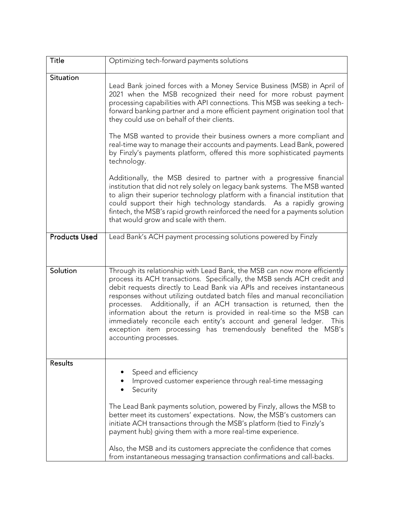| <b>Title</b>         | Optimizing tech-forward payments solutions                                                                                                                                                                                                                                                                                                                                                                                                                                                                                                                                                                                            |
|----------------------|---------------------------------------------------------------------------------------------------------------------------------------------------------------------------------------------------------------------------------------------------------------------------------------------------------------------------------------------------------------------------------------------------------------------------------------------------------------------------------------------------------------------------------------------------------------------------------------------------------------------------------------|
| Situation            | Lead Bank joined forces with a Money Service Business (MSB) in April of<br>2021 when the MSB recognized their need for more robust payment<br>processing capabilities with API connections. This MSB was seeking a tech-<br>forward banking partner and a more efficient payment origination tool that<br>they could use on behalf of their clients.                                                                                                                                                                                                                                                                                  |
|                      | The MSB wanted to provide their business owners a more compliant and<br>real-time way to manage their accounts and payments. Lead Bank, powered<br>by Finzly's payments platform, offered this more sophisticated payments<br>technology.                                                                                                                                                                                                                                                                                                                                                                                             |
|                      | Additionally, the MSB desired to partner with a progressive financial<br>institution that did not rely solely on legacy bank systems. The MSB wanted<br>to align their superior technology platform with a financial institution that<br>could support their high technology standards. As a rapidly growing<br>fintech, the MSB's rapid growth reinforced the need for a payments solution<br>that would grow and scale with them.                                                                                                                                                                                                   |
| <b>Products Used</b> | Lead Bank's ACH payment processing solutions powered by Finzly                                                                                                                                                                                                                                                                                                                                                                                                                                                                                                                                                                        |
| Solution             | Through its relationship with Lead Bank, the MSB can now more efficiently<br>process its ACH transactions. Specifically, the MSB sends ACH credit and<br>debit requests directly to Lead Bank via APIs and receives instantaneous<br>responses without utilizing outdated batch files and manual reconciliation<br>processes. Additionally, if an ACH transaction is returned, then the<br>information about the return is provided in real-time so the MSB can<br>immediately reconcile each entity's account and general ledger.<br>This<br>exception item processing has tremendously benefited the MSB's<br>accounting processes. |
| <b>Results</b>       | Speed and efficiency<br>Improved customer experience through real-time messaging<br>Security                                                                                                                                                                                                                                                                                                                                                                                                                                                                                                                                          |
|                      | The Lead Bank payments solution, powered by Finzly, allows the MSB to<br>better meet its customers' expectations. Now, the MSB's customers can<br>initiate ACH transactions through the MSB's platform (tied to Finzly's<br>payment hub) giving them with a more real-time experience.                                                                                                                                                                                                                                                                                                                                                |
|                      | Also, the MSB and its customers appreciate the confidence that comes<br>from instantaneous messaging transaction confirmations and call-backs.                                                                                                                                                                                                                                                                                                                                                                                                                                                                                        |